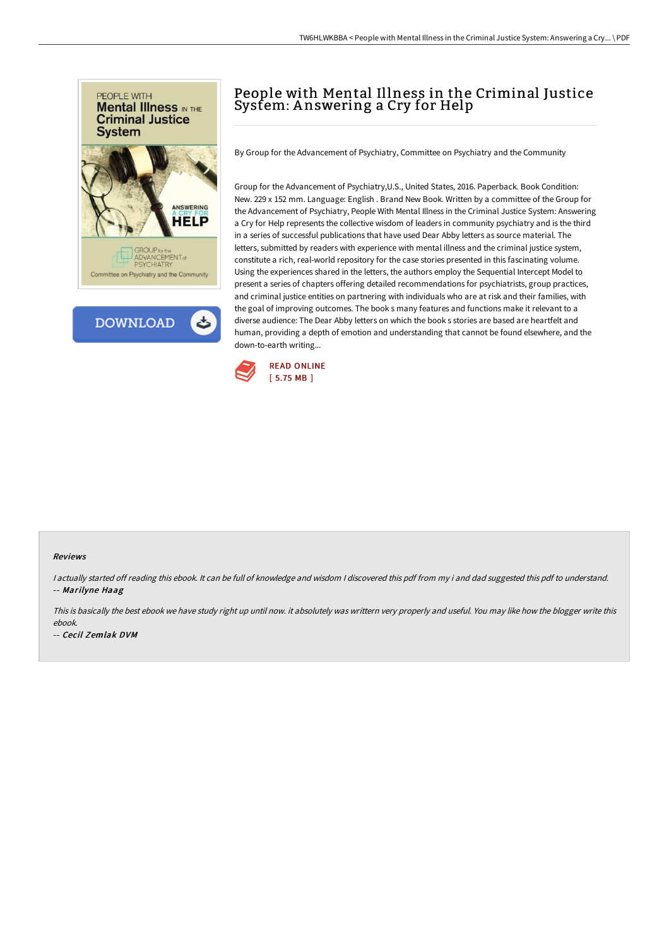

**DOWNLOAD** ٹ

## People with Mental Illness in the Criminal Justice System: A nswering a Cry for Help

By Group for the Advancement of Psychiatry, Committee on Psychiatry and the Community

Group for the Advancement of Psychiatry,U.S., United States, 2016. Paperback. Book Condition: New. 229 x 152 mm. Language: English . Brand New Book. Written by a committee of the Group for the Advancement of Psychiatry, People With Mental Illness in the Criminal Justice System: Answering a Cry for Help represents the collective wisdom of leaders in community psychiatry and is the third in a series of successful publications that have used Dear Abby letters as source material. The letters, submitted by readers with experience with mental illness and the criminal justice system, constitute a rich, real-world repository for the case stories presented in this fascinating volume. Using the experiences shared in the letters, the authors employ the Sequential Intercept Model to present a series of chapters offering detailed recommendations for psychiatrists, group practices, and criminal justice entities on partnering with individuals who are at risk and their families, with the goal of improving outcomes. The book s many features and functions make it relevant to a diverse audience: The Dear Abby letters on which the book s stories are based are heartfelt and human, providing a depth of emotion and understanding that cannot be found elsewhere, and the down-to-earth writing...



## Reviews

I actually started off reading this ebook. It can be full of knowledge and wisdom I discovered this pdf from my i and dad suggested this pdf to understand. -- Marilyne Haag

This is basically the best ebook we have study right up until now. it absolutely was writtern very properly and useful. You may like how the blogger write this ebook.

-- Cecil Zemlak DVM